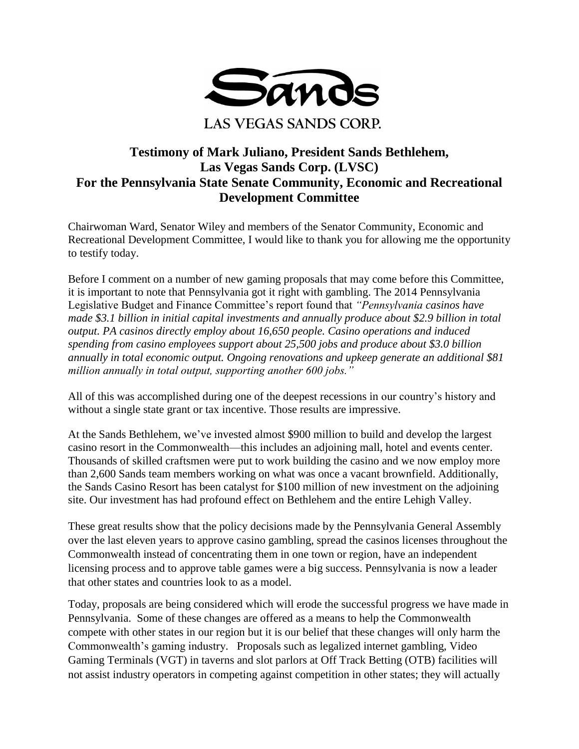

## **Testimony of Mark Juliano, President Sands Bethlehem, Las Vegas Sands Corp. (LVSC) For the Pennsylvania State Senate Community, Economic and Recreational Development Committee**

Chairwoman Ward, Senator Wiley and members of the Senator Community, Economic and Recreational Development Committee, I would like to thank you for allowing me the opportunity to testify today.

Before I comment on a number of new gaming proposals that may come before this Committee, it is important to note that Pennsylvania got it right with gambling. The 2014 Pennsylvania Legislative Budget and Finance Committee's report found that *"Pennsylvania casinos have made \$3.1 billion in initial capital investments and annually produce about \$2.9 billion in total output. PA casinos directly employ about 16,650 people. Casino operations and induced spending from casino employees support about 25,500 jobs and produce about \$3.0 billion annually in total economic output. Ongoing renovations and upkeep generate an additional \$81 million annually in total output, supporting another 600 jobs."*

All of this was accomplished during one of the deepest recessions in our country's history and without a single state grant or tax incentive. Those results are impressive.

At the Sands Bethlehem, we've invested almost \$900 million to build and develop the largest casino resort in the Commonwealth—this includes an adjoining mall, hotel and events center. Thousands of skilled craftsmen were put to work building the casino and we now employ more than 2,600 Sands team members working on what was once a vacant brownfield. Additionally, the Sands Casino Resort has been catalyst for \$100 million of new investment on the adjoining site. Our investment has had profound effect on Bethlehem and the entire Lehigh Valley.

These great results show that the policy decisions made by the Pennsylvania General Assembly over the last eleven years to approve casino gambling, spread the casinos licenses throughout the Commonwealth instead of concentrating them in one town or region, have an independent licensing process and to approve table games were a big success. Pennsylvania is now a leader that other states and countries look to as a model.

Today, proposals are being considered which will erode the successful progress we have made in Pennsylvania. Some of these changes are offered as a means to help the Commonwealth compete with other states in our region but it is our belief that these changes will only harm the Commonwealth's gaming industry. Proposals such as legalized internet gambling, Video Gaming Terminals (VGT) in taverns and slot parlors at Off Track Betting (OTB) facilities will not assist industry operators in competing against competition in other states; they will actually